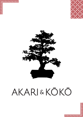





# AKARI&KŌKŌ

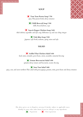

#### **SOUP**



<u> Ønnunnun</u>

<u>menenenenin</u>

**Tom Yum Prawn Soup | 750** *spicy Thai prawn broth, cherry tomatoes*

**Chilli Broccoli Soup | 550** *chilli, broccoli florets, soya*

**Sour & Pepper Chicken Soup | 650** *thick chicken, vegetables and tofu soup, kikkoman soy and xiao shing vinegar*

> **Tofu Miso Soup | 550** *Japanese style broth, wakame, spring onion and tofu*

# **SALAD**

**Grilled Thai Chicken Salad | 650** *basil, mint, coriander, green beans, onion, cucumber, tamarind dressing*

> **Gomae Bocconcini Salad | 650** *spinach, cherry tomato and bocconcini, sesame dressing*

> > **Som Tam Salad | 600**

*spicy, sour, and sweet northern Thai salad with green papaya, peanuts, mint, green beans and cherry tomatoes*

The above prices are in Nepalese currency  $\varepsilon$  further subject to applicable taxes. Kindly let your order taker know if you are allergic to any ingredients. *V e g et a ri a n N o n - v e g et a ri a n*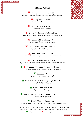

# **SMALL PLATES**

**Rock Shrimp Tempura | 1450** *crisp prawns, jalapeno dressing, spicy mayonnaise, lime, and sesame*

> **Togarashi Squid | 950** *crispy fried squid, togarashi seasoning*



**Fish in Black Bean Sauce | 950** *crispy fish, black bean sauce*

**Korean Fried Chicken Lollipop | 850** *crispy chicken lollipop, gochujang mayonnaise and spring onions*

> **Japanese Chicken Karage | 850** *Japanese fried chicken, picante mayonnaise*

**Five Spiced Chicken Meatballs | 850** *tossed in a Thai chilli glaze*

**Burmese Chilli Lamb | 1200** *crisp lamb slivers tossed, chilli peppers and Burmese spices*

**Heavenly Buff with Basil | 1200** *buff slivers, oyster sauce, coriander seeds, Sichuan peppercorns and basil*

**Tempura - Vegetable | Prawns | 750 | 1450** *crispy batter fry, choice of vegetable or prawns, dipping sauce*

> **Edamame | 750** *tossed with butter, garlic and sea salt*

**Shitake and Waterchestnut Spring Rolls | 750** *served with Thai chilli sauce*

> **Honey Chilli Fries | 650** *French fries in a sweet and spicy glaze*

**Spinach and Cream Cheese Wonton Parcel | 750** *with sriracha mayonnaise*

**Kimchi Wonton Nachos | 650** *crisp wonton nachos, kimchi, gochujang mayonnaise, jalapeno, cheese sauce*

The above prices are in Nepalese currency & further subject to applicable taxes. Kindly let your order taker know if you are allergic to any ingredients. *V e g et a ri a n N o n - v e g et a ri a n*



<u> Ønnunun</u> penenenen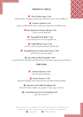

#### **ORIENTAL GRILLS**



<u> Ønauaaaa</u>

<u>लयनयनयनयनन</u>

#### **Thai Chicken Satay | 1150**

*chicken skewers, lemongrass, galangal and chilli, spicy peanut sauce, vegetable acar*

**Chicken Yakitori | 1150** *Japanese grilled chicken skewers with negi, teriyaki sauce and daikon zuma*

> **Sake Marinated Chicken Wings | 1150** *with sea salt and chilli lime*

**Chargrilled Pork Belly | 1250** *spicy sesame ponzu sauce and vegetable acar*

**Grilled Whole Trout | 1350** *served on a bed of sauteed mushrooms and bok choy*

**Chargrilled Prawns with Sesame Ponzu | 1500** *with bok choy and crispy shallots*

**Spicy Miso Grilled Vegetables | 1050** *assorted vegetables marinated with chilli and miso with kewpie mayonnaise and tsukemeno*

#### **DIM SUMS**

**Chicken Dimsum | 1150** *flavored chicken dumplings*

**Prawn Dimsum | 1350** *translucent dumplings with a flavored prawn and shitake mushroom filling*

**Edamame and Truffle Dumpling | 850** *with water chestnut, truffle essence, Japanese 7-spice, ginger, and soya*

**Crystal Spinach and Corn Dumpling | 850** *garlic and roasted corn*

The above prices are in Nepalese currency & further subject to applicable taxes. Kindly let your order taker know if you are allergic to any ingredients. *V e g et a ri a n N o n - v e g et a ri a n*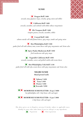

#### **SUSHI**



## **Dragon Roll | 1400**

*avocado, tuna, Japanese mayo, sriracha, spring onion and tobiko*

**California Roll | 1400**

*avocado, cucumber, and crabstick with tobiko tabasco mayonnaise*

**Ebi Tempura Roll | 1400** *tempura prawn, avocado, cucumber, tobiko*

**Conrad Roll | 1400** *salmon outside roll with flamed cheese, spicy mayo, tanuki and spring onion*

**Hot Philadelphia Roll | 1500** *panko fried roll with salmon, tuna, cream cheese with spicy mayonnaise and Asian salsa*

**Spicy Panko Mushroom Roll | 1050**

*fried mushroom with spicy mayo*

**Vegetable California Roll | 1050** *avocado, cucumber, carrot, and pickled radish with cream cheese*

**Hot Philadelphia Tofu Roll | 1150** *panko fried roll with tofu, cream cheese with spicy mayonnaise and Asian salsa*

# **NIGIRI SUSHI**

**Hand pressed sushi**

**Salmon | 1450 Tuna | 1450 Prawn | 1450 Avocado | 1050**

**MORIWASE SUSHI PLATTER-25 pcs | 5000** *hot philadelphia roll, 3 chef choice rolls and nigiri*

**MORIWASE SUSHI PLATTER– 15 pcs | 3000** *2 chef choice rolls and nigiri*

The above prices are in Nepalese currency & further subject to applicable taxes. Kindly let your order taker know if you are allergic to any ingredients. *V e g et a ri a n N o n - v e g et a ri a n*

<u> 26 de el ciento</u> **Nederland**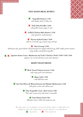

### **PAN ASIAN MEAL BOWLS**



<u> Ønnunnun</u>

<u>in en en en en in</u>

**Vegetable Ramen | 1150** *with shitake, beans & baby corn*

**Pork Soba Noodles | 1450** *with grilled onions, ginger & nori*

**Grilled Chicken Miso Ramen | 1350** *with spinach & crushed peanuts*

**Nyona Seafood Laksa | 1650** *with rice vermicelli, egg, wonton crisps and tofu*

**Nasi Goreng | 1250**

*Indonesian style spiced chicken and prawn fried rice topped with fried egg, chilli sambal, prawn crackers, crispy shallots and pickled vegetables*

**Japanese Katsu Curry- Mushroom and Tofu | Chicken | Pork | 1050 | 1350 | 1450** *Japanese rice served with katsu curry and tsukemeno*

# **MAIN VEGETARIAN**

**Wok Tossed Chinese Greens | 1100**  *with crispy garlic and cashewnuts*

> **Mapo Tofu | 1100** *with chilli bean sauce*

**Stir Fried Broccoli Waterchestnut and Shitake Mushrooms | 1100** *mild garlic, sesame and scallion sauce*

> **Thai Vegetable Curry- Red | Green | 950** *Thai style coconut curry with choice of vegetable*

> > **Ema Shamu Datsi | 950** *Bhutanese cheese, chilli and mushroom stew*

The above prices are in Nepalese currency  $\varepsilon$  further subject to applicable taxes. Kindly let your order taker know if you are allergic to any ingredients. *V e g et a ri a n N o n - v e g et a ri a n*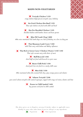# upiupiupiup <u>य प्राप्त प्राप्त पञ</u>

#### **MAINS NON-VEGETARIAN**



<u>in wa wa waisa wa</u>

**Teriyaki Chicken | 1325** *crispy chicken thigh glazed, teriyaki sauce, bokchoy*

**Stir Fried Chicken Hot Basil | 1325** *Thai style chicken stir fried with chilli and basil*

**Hot Pot Shredded Chicken | 1325** *shredded chicken with bamboo shoots and bean sprouts*

**Miso NZ Lamb Chop | 4000** *48hrs miso marinated NZ lamb chops on a bed of bokchoy on a hot sizzling pan*

> **Thai Masaman Lamb Curry | 1450** *mild Thai curry with Indian and Malay influences*

**Thai Red or Green Curry | Chicken | Prawn | 1150 | 1350** *Thai style coconut curry with choice of meat*

> **Buff Broccoli | 1550** *sliced buff stir fried with broccoli in oyster sauce*

> **Burnt Chilli Pork | 1550** *sliced pork loin stir-fried in a smoky chilli sauce*

**Miso Fish | 1550** *48hrs marinated white fish, steamed bok choy, spicy orange ponzu and cilantro*

**Salmon Teriyaki | 2100** *pan seared salmon teriyaki with sauteed asparagus, topped with crispy red onion, cilantro and lime*

> **Prawn in Chilli Sambal | 1650** *bay prawns wok fried in chilli sambal*

The above prices are in Nepalese currency  $\varepsilon$  further subject to applicable taxes. Kindly let your order taker know if you are allergic to any ingredients. *V e g et a ri a n N o n - v e g et a ri a n*